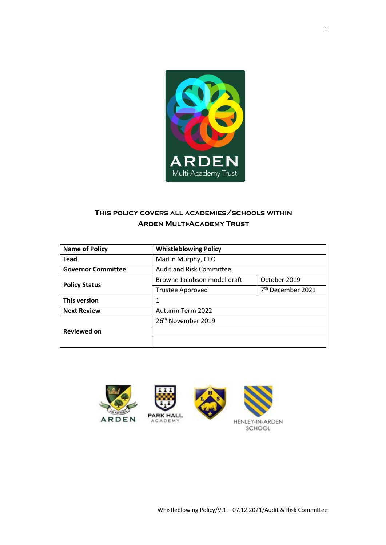

# **This policy covers all academies/schools within Arden Multi-Academy Trust**

| <b>Name of Policy</b>     | <b>Whistleblowing Policy</b>    |                               |
|---------------------------|---------------------------------|-------------------------------|
| Lead                      | Martin Murphy, CEO              |                               |
| <b>Governor Committee</b> | <b>Audit and Risk Committee</b> |                               |
| <b>Policy Status</b>      | Browne Jacobson model draft     | October 2019                  |
|                           | <b>Trustee Approved</b>         | 7 <sup>th</sup> December 2021 |
| <b>This version</b>       | 1                               |                               |
| <b>Next Review</b>        | Autumn Term 2022                |                               |
|                           | 26 <sup>th</sup> November 2019  |                               |
| <b>Reviewed on</b>        |                                 |                               |
|                           |                                 |                               |

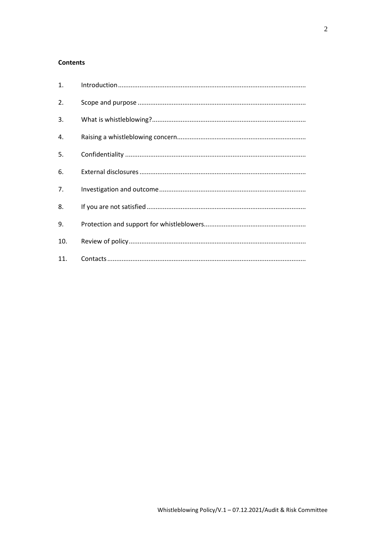## **Contents**

| 1.  |  |
|-----|--|
| 2.  |  |
| 3.  |  |
| 4.  |  |
| 5.  |  |
| 6.  |  |
| 7.  |  |
| 8.  |  |
| 9.  |  |
| 10. |  |
| 11. |  |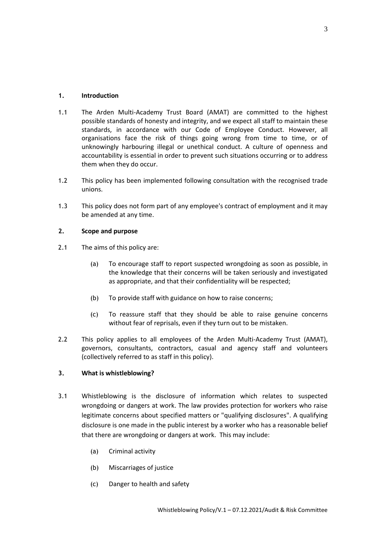## <span id="page-2-0"></span>**1. Introduction**

- 1.1 The Arden Multi-Academy Trust Board (AMAT) are committed to the highest possible standards of honesty and integrity, and we expect all staff to maintain these standards, in accordance with our Code of Employee Conduct. However, all organisations face the risk of things going wrong from time to time, or of unknowingly harbouring illegal or unethical conduct. A culture of openness and accountability is essential in order to prevent such situations occurring or to address them when they do occur.
- 1.2 This policy has been implemented following consultation with the recognised trade unions.
- 1.3 This policy does not form part of any employee's contract of employment and it may be amended at any time.

## <span id="page-2-1"></span>**2. Scope and purpose**

- 2.1 The aims of this policy are:
	- (a) To encourage staff to report suspected wrongdoing as soon as possible, in the knowledge that their concerns will be taken seriously and investigated as appropriate, and that their confidentiality will be respected;
	- (b) To provide staff with guidance on how to raise concerns;
	- (c) To reassure staff that they should be able to raise genuine concerns without fear of reprisals, even if they turn out to be mistaken.
- 2.2 This policy applies to all employees of the Arden Multi-Academy Trust (AMAT), governors, consultants, contractors, casual and agency staff and volunteers (collectively referred to as staff in this policy).

## <span id="page-2-2"></span>**3. What is whistleblowing?**

- 3.1 Whistleblowing is the disclosure of information which relates to suspected wrongdoing or dangers at work. The law provides protection for workers who raise legitimate concerns about specified matters or "qualifying disclosures". A qualifying disclosure is one made in the public interest by a worker who has a reasonable belief that there are wrongdoing or dangers at work. This may include:
	- (a) Criminal activity
	- (b) Miscarriages of justice
	- (c) Danger to health and safety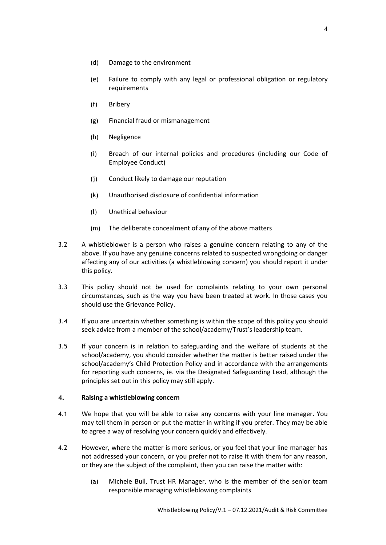- (d) Damage to the environment
- (e) Failure to comply with any legal or professional obligation or regulatory requirements
- (f) Bribery
- (g) Financial fraud or mismanagement
- (h) Negligence
- (i) Breach of our internal policies and procedures (including our Code of Employee Conduct)
- (j) Conduct likely to damage our reputation
- (k) Unauthorised disclosure of confidential information
- (l) Unethical behaviour
- (m) The deliberate concealment of any of the above matters
- 3.2 A whistleblower is a person who raises a genuine concern relating to any of the above. If you have any genuine concerns related to suspected wrongdoing or danger affecting any of our activities (a whistleblowing concern) you should report it under this policy.
- 3.3 This policy should not be used for complaints relating to your own personal circumstances, such as the way you have been treated at work. In those cases you should use the Grievance Policy.
- 3.4 If you are uncertain whether something is within the scope of this policy you should seek advice from a member of the school/academy/Trust's leadership team.
- 3.5 If your concern is in relation to safeguarding and the welfare of students at the school/academy, you should consider whether the matter is better raised under the school/academy's Child Protection Policy and in accordance with the arrangements for reporting such concerns, ie. via the Designated Safeguarding Lead, although the principles set out in this policy may still apply.

#### <span id="page-3-0"></span>**4. Raising a whistleblowing concern**

- 4.1 We hope that you will be able to raise any concerns with your line manager. You may tell them in person or put the matter in writing if you prefer. They may be able to agree a way of resolving your concern quickly and effectively.
- 4.2 However, where the matter is more serious, or you feel that your line manager has not addressed your concern, or you prefer not to raise it with them for any reason, or they are the subject of the complaint, then you can raise the matter with:
	- (a) Michele Bull, Trust HR Manager, who is the member of the senior team responsible managing whistleblowing complaints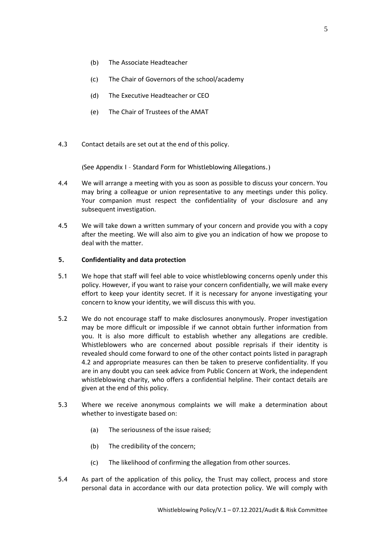- (b) The Associate Headteacher
- (c) The Chair of Governors of the school/academy
- (d) The Executive Headteacher or CEO
- (e) The Chair of Trustees of the AMAT
- 4.3 Contact details are set out at the end of this policy.

(See Appendix I – Standard Form for Whistleblowing Allegations.)

- 4.4 We will arrange a meeting with you as soon as possible to discuss your concern. You may bring a colleague or union representative to any meetings under this policy. Your companion must respect the confidentiality of your disclosure and any subsequent investigation.
- 4.5 We will take down a written summary of your concern and provide you with a copy after the meeting. We will also aim to give you an indication of how we propose to deal with the matter.

#### <span id="page-4-0"></span>**5. Confidentiality and data protection**

- 5.1 We hope that staff will feel able to voice whistleblowing concerns openly under this policy. However, if you want to raise your concern confidentially, we will make every effort to keep your identity secret. If it is necessary for anyone investigating your concern to know your identity, we will discuss this with you.
- 5.2 We do not encourage staff to make disclosures anonymously. Proper investigation may be more difficult or impossible if we cannot obtain further information from you. It is also more difficult to establish whether any allegations are credible. Whistleblowers who are concerned about possible reprisals if their identity is revealed should come forward to one of the other contact points listed in paragraph 4.2 and appropriate measures can then be taken to preserve confidentiality. If you are in any doubt you can seek advice from Public Concern at Work, the independent whistleblowing charity, who offers a confidential helpline. Their contact details are given at the end of this policy.
- 5.3 Where we receive anonymous complaints we will make a determination about whether to investigate based on:
	- (a) The seriousness of the issue raised;
	- (b) The credibility of the concern;
	- (c) The likelihood of confirming the allegation from other sources.
- 5.4 As part of the application of this policy, the Trust may collect, process and store personal data in accordance with our data protection policy. We will comply with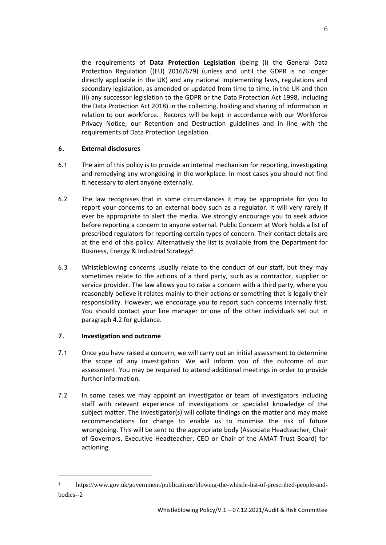the requirements of **Data Protection Legislation** (being (i) the General Data Protection Regulation ((EU) 2016/679) (unless and until the GDPR is no longer directly applicable in the UK) and any national implementing laws, regulations and secondary legislation, as amended or updated from time to time, in the UK and then (ii) any successor legislation to the GDPR or the Data Protection Act 1998, including the Data Protection Act 2018) in the collecting, holding and sharing of information in relation to our workforce. Records will be kept in accordance with our Workforce Privacy Notice, our Retention and Destruction guidelines and in line with the requirements of Data Protection Legislation.

## <span id="page-5-0"></span>**6. External disclosures**

- 6.1 The aim of this policy is to provide an internal mechanism for reporting, investigating and remedying any wrongdoing in the workplace. In most cases you should not find it necessary to alert anyone externally.
- 6.2 The law recognises that in some circumstances it may be appropriate for you to report your concerns to an external body such as a regulator. It will very rarely if ever be appropriate to alert the media. We strongly encourage you to seek advice before reporting a concern to anyone external. Public Concern at Work holds a list of prescribed regulators for reporting certain types of concern. Their contact details are at the end of this policy. Alternatively the list is available from the Department for Business, Energy & Industrial Strategy<sup>1</sup>.
- 6.3 Whistleblowing concerns usually relate to the conduct of our staff, but they may sometimes relate to the actions of a third party, such as a contractor, supplier or service provider. The law allows you to raise a concern with a third party, where you reasonably believe it relates mainly to their actions or something that is legally their responsibility. However, we encourage you to report such concerns internally first. You should contact your line manager or one of the other individuals set out in paragraph 4.2 for guidance.

## <span id="page-5-1"></span>**7. Investigation and outcome**

 $\overline{a}$ 

- 7.1 Once you have raised a concern, we will carry out an initial assessment to determine the scope of any investigation. We will inform you of the outcome of our assessment. You may be required to attend additional meetings in order to provide further information.
- 7.2 In some cases we may appoint an investigator or team of investigators including staff with relevant experience of investigations or specialist knowledge of the subject matter. The investigator(s) will collate findings on the matter and may make recommendations for change to enable us to minimise the risk of future wrongdoing. This will be sent to the appropriate body (Associate Headteacher, Chair of Governors, Executive Headteacher, CEO or Chair of the AMAT Trust Board) for actioning.

<sup>&</sup>lt;sup>1</sup> https://www.gov.uk/government/publications/blowing-the-whistle-list-of-prescribed-people-andbodies--2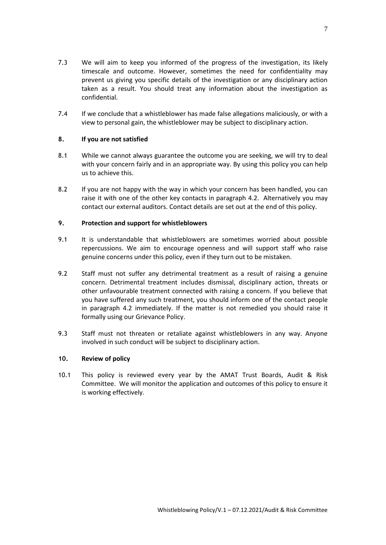- 7.3 We will aim to keep you informed of the progress of the investigation, its likely timescale and outcome. However, sometimes the need for confidentiality may prevent us giving you specific details of the investigation or any disciplinary action taken as a result. You should treat any information about the investigation as confidential.
- 7.4 If we conclude that a whistleblower has made false allegations maliciously, or with a view to personal gain, the whistleblower may be subject to disciplinary action.

## <span id="page-6-0"></span>**8. If you are not satisfied**

- 8.1 While we cannot always guarantee the outcome you are seeking, we will try to deal with your concern fairly and in an appropriate way. By using this policy you can help us to achieve this.
- 8.2 If you are not happy with the way in which your concern has been handled, you can raise it with one of the other key contacts in paragraph 4.2. Alternatively you may contact our external auditors. Contact details are set out at the end of this policy.

#### <span id="page-6-1"></span>**9. Protection and support for whistleblowers**

- 9.1 It is understandable that whistleblowers are sometimes worried about possible repercussions. We aim to encourage openness and will support staff who raise genuine concerns under this policy, even if they turn out to be mistaken.
- 9.2 Staff must not suffer any detrimental treatment as a result of raising a genuine concern. Detrimental treatment includes dismissal, disciplinary action, threats or other unfavourable treatment connected with raising a concern. If you believe that you have suffered any such treatment, you should inform one of the contact people in paragraph 4.2 immediately. If the matter is not remedied you should raise it formally using our Grievance Policy.
- 9.3 Staff must not threaten or retaliate against whistleblowers in any way. Anyone involved in such conduct will be subject to disciplinary action.

## <span id="page-6-2"></span>**10. Review of policy**

10.1 This policy is reviewed every year by the AMAT Trust Boards, Audit & Risk Committee. We will monitor the application and outcomes of this policy to ensure it is working effectively.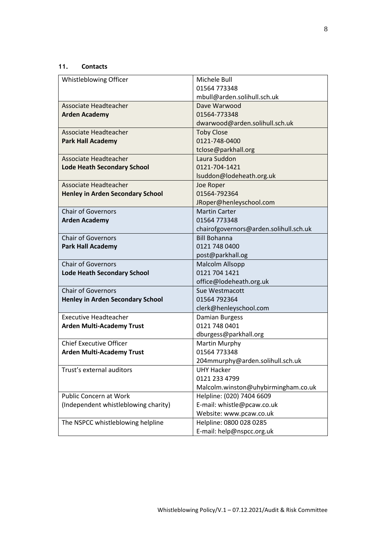## <span id="page-7-0"></span>**11. Contacts**

| Whistleblowing Officer                  | Michele Bull                           |  |
|-----------------------------------------|----------------------------------------|--|
|                                         | 01564 773348                           |  |
|                                         | mbull@arden.solihull.sch.uk            |  |
| Associate Headteacher                   | Dave Warwood                           |  |
| <b>Arden Academy</b>                    | 01564-773348                           |  |
|                                         | dwarwood@arden.solihull.sch.uk         |  |
| <b>Associate Headteacher</b>            | <b>Toby Close</b>                      |  |
| <b>Park Hall Academy</b>                | 0121-748-0400                          |  |
|                                         | tclose@parkhall.org                    |  |
| Associate Headteacher                   | Laura Suddon                           |  |
| <b>Lode Heath Secondary School</b>      | 0121-704-1421                          |  |
|                                         | Isuddon@lodeheath.org.uk               |  |
| Associate Headteacher                   | Joe Roper                              |  |
| <b>Henley in Arden Secondary School</b> | 01564-792364                           |  |
|                                         | JRoper@henleyschool.com                |  |
| <b>Chair of Governors</b>               | <b>Martin Carter</b>                   |  |
| <b>Arden Academy</b>                    | 01564 773348                           |  |
|                                         | chairofgovernors@arden.solihull.sch.uk |  |
| <b>Chair of Governors</b>               | <b>Bill Bohanna</b>                    |  |
| <b>Park Hall Academy</b>                | 0121 748 0400                          |  |
|                                         | post@parkhall.og                       |  |
| <b>Chair of Governors</b>               | <b>Malcolm Allsopp</b>                 |  |
| <b>Lode Heath Secondary School</b>      | 0121 704 1421                          |  |
|                                         | office@lodeheath.org.uk                |  |
| <b>Chair of Governors</b>               | Sue Westmacott                         |  |
| <b>Henley in Arden Secondary School</b> | 01564 792364                           |  |
|                                         | clerk@henleyschool.com                 |  |
| <b>Executive Headteacher</b>            | Damian Burgess                         |  |
| <b>Arden Multi-Academy Trust</b>        | 0121 748 0401                          |  |
|                                         | dburgess@parkhall.org                  |  |
| <b>Chief Executive Officer</b>          | Martin Murphy                          |  |
| <b>Arden Multi-Academy Trust</b>        | 01564 773348                           |  |
|                                         | 204mmurphy@arden.solihull.sch.uk       |  |
| Trust's external auditors               | <b>UHY Hacker</b>                      |  |
|                                         | 0121 233 4799                          |  |
|                                         | Malcolm.winston@uhybirmingham.co.uk    |  |
| <b>Public Concern at Work</b>           | Helpline: (020) 7404 6609              |  |
| (Independent whistleblowing charity)    | E-mail: whistle@pcaw.co.uk             |  |
|                                         | Website: www.pcaw.co.uk                |  |
| The NSPCC whistleblowing helpline       | Helpline: 0800 028 0285                |  |
|                                         | E-mail: help@nspcc.org.uk              |  |